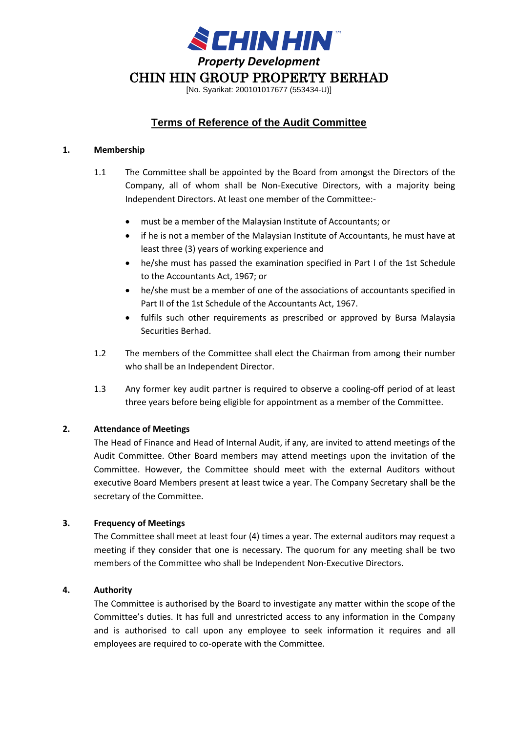

[No. Syarikat: 200101017677 (553434-U)]

# **Terms of Reference of the Audit Committee**

#### **1. Membership**

- 1.1 The Committee shall be appointed by the Board from amongst the Directors of the Company, all of whom shall be Non-Executive Directors, with a majority being Independent Directors. At least one member of the Committee:-
	- must be a member of the Malaysian Institute of Accountants; or
	- if he is not a member of the Malaysian Institute of Accountants, he must have at least three (3) years of working experience and
	- he/she must has passed the examination specified in Part I of the 1st Schedule to the Accountants Act, 1967; or
	- he/she must be a member of one of the associations of accountants specified in Part II of the 1st Schedule of the Accountants Act, 1967.
	- fulfils such other requirements as prescribed or approved by Bursa Malaysia Securities Berhad.
- 1.2 The members of the Committee shall elect the Chairman from among their number who shall be an Independent Director.
- 1.3 Any former key audit partner is required to observe a cooling-off period of at least three years before being eligible for appointment as a member of the Committee.

## **2. Attendance of Meetings**

The Head of Finance and Head of Internal Audit, if any, are invited to attend meetings of the Audit Committee. Other Board members may attend meetings upon the invitation of the Committee. However, the Committee should meet with the external Auditors without executive Board Members present at least twice a year. The Company Secretary shall be the secretary of the Committee.

## **3. Frequency of Meetings**

The Committee shall meet at least four (4) times a year. The external auditors may request a meeting if they consider that one is necessary. The quorum for any meeting shall be two members of the Committee who shall be Independent Non-Executive Directors.

## **4. Authority**

The Committee is authorised by the Board to investigate any matter within the scope of the Committee's duties. It has full and unrestricted access to any information in the Company and is authorised to call upon any employee to seek information it requires and all employees are required to co-operate with the Committee.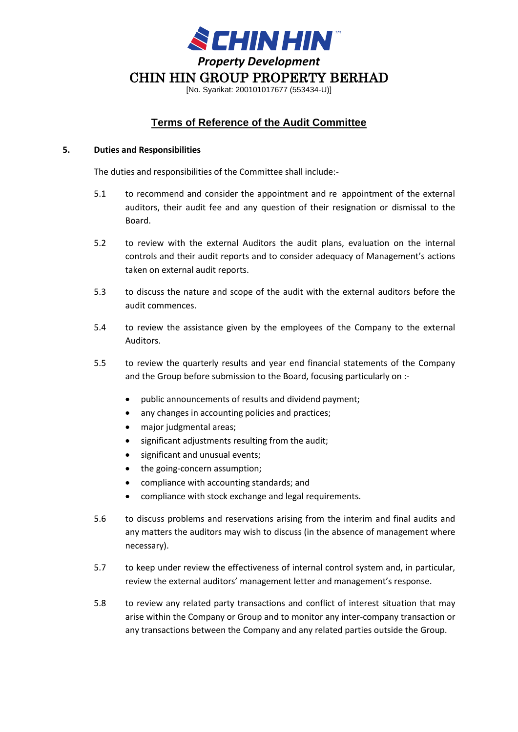

[No. Syarikat: 200101017677 (553434-U)]

# **Terms of Reference of the Audit Committee**

#### **5. Duties and Responsibilities**

The duties and responsibilities of the Committee shall include:-

- 5.1 to recommend and consider the appointment and re appointment of the external auditors, their audit fee and any question of their resignation or dismissal to the Board.
- 5.2 to review with the external Auditors the audit plans, evaluation on the internal controls and their audit reports and to consider adequacy of Management's actions taken on external audit reports.
- 5.3 to discuss the nature and scope of the audit with the external auditors before the audit commences.
- 5.4 to review the assistance given by the employees of the Company to the external Auditors.
- 5.5 to review the quarterly results and year end financial statements of the Company and the Group before submission to the Board, focusing particularly on :-
	- public announcements of results and dividend payment;
	- any changes in accounting policies and practices;
	- major judgmental areas;
	- significant adjustments resulting from the audit;
	- significant and unusual events;
	- the going-concern assumption;
	- compliance with accounting standards; and
	- compliance with stock exchange and legal requirements.
- 5.6 to discuss problems and reservations arising from the interim and final audits and any matters the auditors may wish to discuss (in the absence of management where necessary).
- 5.7 to keep under review the effectiveness of internal control system and, in particular, review the external auditors' management letter and management's response.
- 5.8 to review any related party transactions and conflict of interest situation that may arise within the Company or Group and to monitor any inter-company transaction or any transactions between the Company and any related parties outside the Group.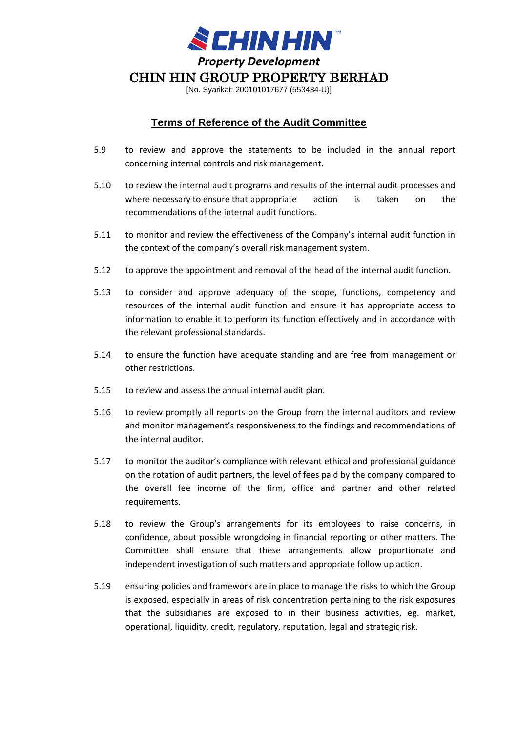

[No. Syarikat: 200101017677 (553434-U)]

## **Terms of Reference of the Audit Committee**

- 5.9 to review and approve the statements to be included in the annual report concerning internal controls and risk management.
- 5.10 to review the internal audit programs and results of the internal audit processes and where necessary to ensure that appropriate action is taken on the recommendations of the internal audit functions.
- 5.11 to monitor and review the effectiveness of the Company's internal audit function in the context of the company's overall risk management system.
- 5.12 to approve the appointment and removal of the head of the internal audit function.
- 5.13 to consider and approve adequacy of the scope, functions, competency and resources of the internal audit function and ensure it has appropriate access to information to enable it to perform its function effectively and in accordance with the relevant professional standards.
- 5.14 to ensure the function have adequate standing and are free from management or other restrictions.
- 5.15 to review and assess the annual internal audit plan.
- 5.16 to review promptly all reports on the Group from the internal auditors and review and monitor management's responsiveness to the findings and recommendations of the internal auditor.
- 5.17 to monitor the auditor's compliance with relevant ethical and professional guidance on the rotation of audit partners, the level of fees paid by the company compared to the overall fee income of the firm, office and partner and other related requirements.
- 5.18 to review the Group's arrangements for its employees to raise concerns, in confidence, about possible wrongdoing in financial reporting or other matters. The Committee shall ensure that these arrangements allow proportionate and independent investigation of such matters and appropriate follow up action.
- 5.19 ensuring policies and framework are in place to manage the risks to which the Group is exposed, especially in areas of risk concentration pertaining to the risk exposures that the subsidiaries are exposed to in their business activities, eg. market, operational, liquidity, credit, regulatory, reputation, legal and strategic risk.